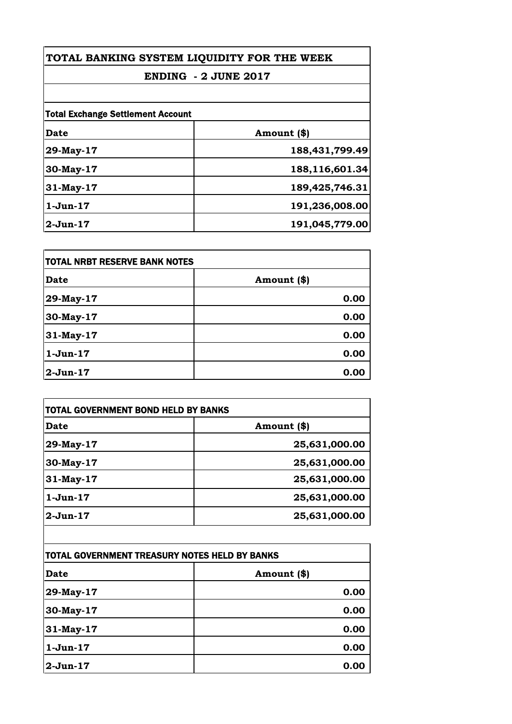## **ENDING - 2 JUNE 2017**

| <b>Total Exchange Settlement Account</b> |                |
|------------------------------------------|----------------|
| <b>Date</b>                              | Amount (\$)    |
| 29-May-17                                | 188,431,799.49 |
| 30-May-17                                | 188,116,601.34 |
| 31-May-17                                | 189,425,746.31 |
| $1-Jun-17$                               | 191,236,008.00 |
| $2-Jun-17$                               | 191,045,779.00 |

| <b>TOTAL NRBT RESERVE BANK NOTES</b> |             |
|--------------------------------------|-------------|
| <b>Date</b>                          | Amount (\$) |
| 29-May-17                            | 0.00        |
| 30-May-17                            | 0.00        |
| 31-May-17                            | 0.00        |
| $1-Jun-17$                           | 0.00        |
| $2-Jun-17$                           | 0.00        |

| Date       | Amount (\$)   |
|------------|---------------|
| 29-May-17  | 25,631,000.00 |
| 30-May-17  | 25,631,000.00 |
| 31-May-17  | 25,631,000.00 |
| $1-Jun-17$ | 25,631,000.00 |
| $2-Jun-17$ | 25,631,000.00 |

| TOTAL GOVERNMENT TREASURY NOTES HELD BY BANKS |             |
|-----------------------------------------------|-------------|
| Date                                          | Amount (\$) |
| 29-May-17                                     | 0.00        |
| 30-May-17                                     | 0.00        |
| 31-May-17                                     | 0.00        |
| $1-Jun-17$                                    | 0.00        |
| $2$ -Jun-17                                   | 0.00        |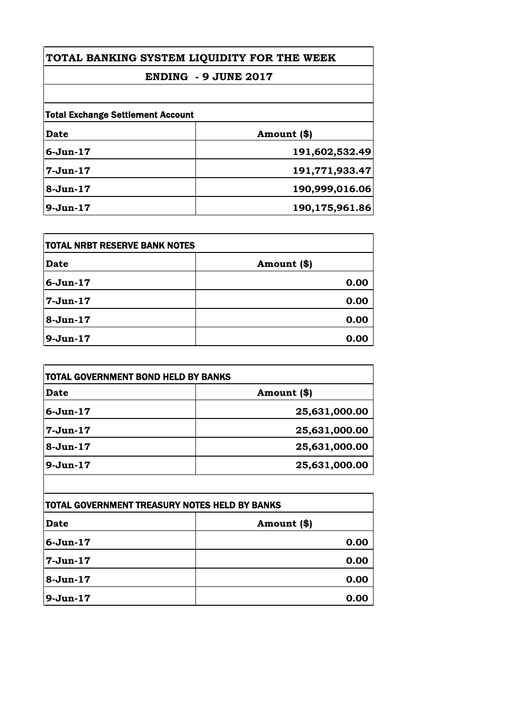## **ENDING - 9 JUNE 2017**

| Date         | Amount (\$)    |
|--------------|----------------|
|              |                |
| $6 - Jun-17$ | 191,602,532.49 |
| $7-Jun-17$   | 191,771,933.47 |
| $8-Jun-17$   | 190,999,016.06 |
| $9-Jun-17$   | 190,175,961.86 |

| <b>ITOTAL NRBT RESERVE BANK NOTES</b> |             |
|---------------------------------------|-------------|
| Date                                  | Amount (\$) |
| $6 - Jun-17$                          | 0.00        |
| $7-Jun-17$                            | 0.00        |
| $8-Jun-17$                            | 0.00        |
| 9-Jun-17                              | 0.00        |

| Date         | Amount (\$)   |
|--------------|---------------|
| $6 - Jun-17$ | 25,631,000.00 |
| $7-Jun-17$   | 25,631,000.00 |
| $8-Jun-17$   | 25,631,000.00 |
| $9-Jun-17$   | 25,631,000.00 |

| TOTAL GOVERNMENT TREASURY NOTES HELD BY BANKS |             |
|-----------------------------------------------|-------------|
| <b>Date</b>                                   | Amount (\$) |
| 6-Jun-17                                      | 0.00        |
| $7-Jun-17$                                    | 0.00        |
| $8-Jun-17$                                    | 0.00        |
| $9-Jun-17$                                    | 0.00        |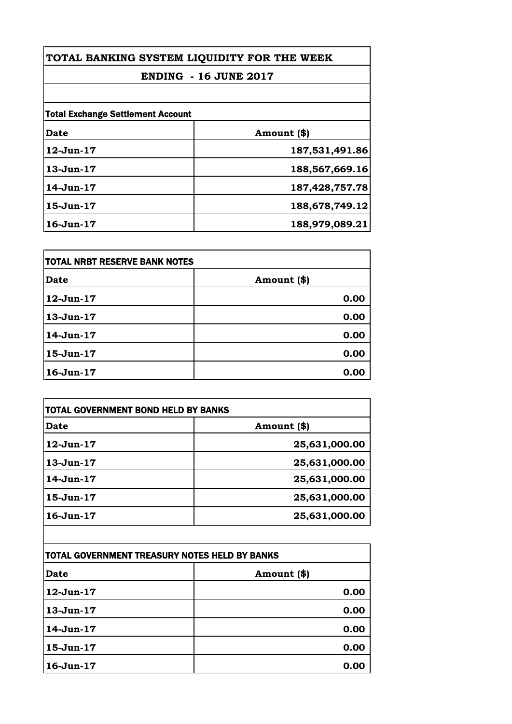## **ENDING - 16 JUNE 2017**

| <b>Total Exchange Settlement Account</b> |                   |
|------------------------------------------|-------------------|
| Date                                     | Amount (\$)       |
| $12$ -Jun- $17$                          | 187,531,491.86    |
| $13-Jun-17$                              | 188,567,669.16    |
| $14$ -Jun- $17$                          | 187, 428, 757. 78 |
| 15-Jun-17                                | 188,678,749.12    |
| $16$ -Jun- $17$                          | 188,979,089.21    |

| TOTAL NRBT RESERVE BANK NOTES |             |
|-------------------------------|-------------|
| Date                          | Amount (\$) |
| $12$ -Jun- $17$               | 0.00        |
| $13-Jun-17$                   | 0.00        |
| 14-Jun-17                     | 0.00        |
| $15-Jun-17$                   | 0.00        |
| $16$ -Jun- $17$               | 0.00        |

| <b>Date</b>     | Amount (\$)   |
|-----------------|---------------|
| 12-Jun-17       | 25,631,000.00 |
| $13-Jun-17$     | 25,631,000.00 |
| 14-Jun-17       | 25,631,000.00 |
| 15-Jun-17       | 25,631,000.00 |
| $16$ -Jun- $17$ | 25,631,000.00 |

| TOTAL GOVERNMENT TREASURY NOTES HELD BY BANKS |             |
|-----------------------------------------------|-------------|
| Date                                          | Amount (\$) |
| $12$ -Jun- $17$                               | 0.00        |
| $13-Jun-17$                                   | 0.00        |
| 14-Jun-17                                     | 0.00        |
| $15 - Jun-17$                                 | 0.00        |
| $16$ -Jun- $17$                               | 0.00        |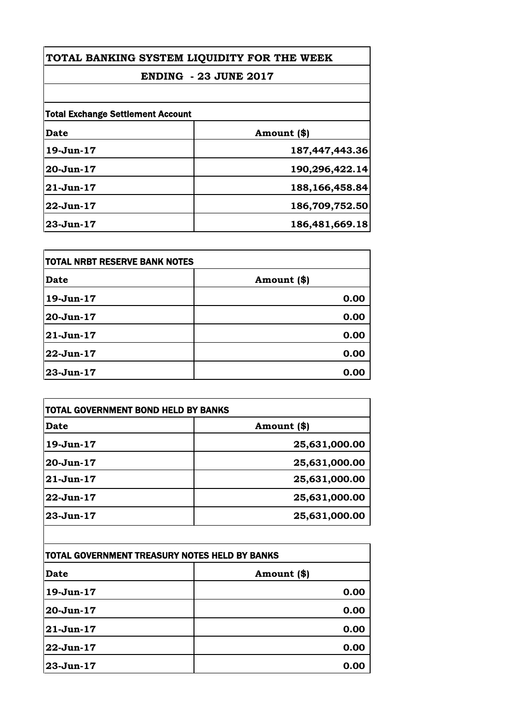## **ENDING - 23 JUNE 2017**

| <b>Total Exchange Settlement Account</b> |                |
|------------------------------------------|----------------|
| <b>Date</b>                              | Amount (\$)    |
| 19-Jun-17                                | 187,447,443.36 |
| $20 - Jun-17$                            | 190,296,422.14 |
| $21 - Jun-17$                            | 188,166,458.84 |
| $22 - Jun-17$                            | 186,709,752.50 |
| $23 - Jun-17$                            | 186,481,669.18 |

| <b>TOTAL NRBT RESERVE BANK NOTES</b> |             |
|--------------------------------------|-------------|
| <b>Date</b>                          | Amount (\$) |
| 19-Jun-17                            | 0.00        |
| 20-Jun-17                            | 0.00        |
| 21-Jun-17                            | 0.00        |
| 22-Jun-17                            | 0.00        |
| 23-Jun-17                            | 0.00        |

| <b>Date</b>   | Amount (\$)   |
|---------------|---------------|
| 19-Jun-17     | 25,631,000.00 |
| $20 - Jun-17$ | 25,631,000.00 |
| $21 - Jun-17$ | 25,631,000.00 |
| 22-Jun-17     | 25,631,000.00 |
| $23 - Jun-17$ | 25,631,000.00 |

| TOTAL GOVERNMENT TREASURY NOTES HELD BY BANKS |             |
|-----------------------------------------------|-------------|
| Date                                          | Amount (\$) |
| 19-Jun-17                                     | 0.00        |
| 20-Jun-17                                     | 0.00        |
| $ 21$ -Jun- $17$                              | 0.00        |
| 22-Jun-17                                     | 0.00        |
| 23-Jun-17                                     | 0.00        |